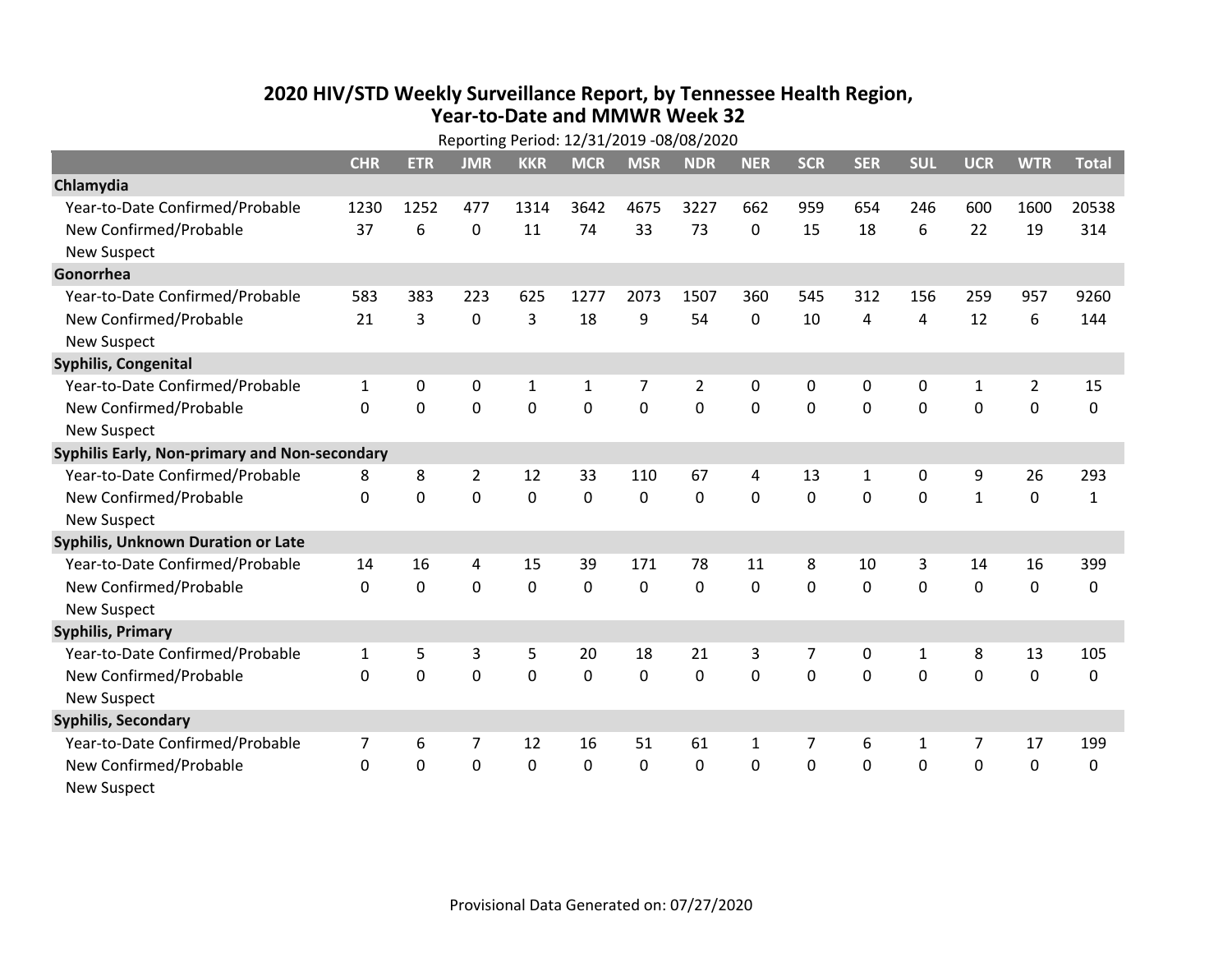## **2020 HIV /STD Weekly Surveillance Report, by Tennessee Health Region, Year‐to‐Date and MMWR Week 32** Reporting Period: 12/31/2019 ‐08/08/2020

|                                               | Reporting Period: 12/31/2019 -08/08/2020 |              |                |                |              |                |                |              |                |            |              |                |                |              |
|-----------------------------------------------|------------------------------------------|--------------|----------------|----------------|--------------|----------------|----------------|--------------|----------------|------------|--------------|----------------|----------------|--------------|
|                                               | <b>CHR</b>                               | <b>ETR</b>   | <b>JMR</b>     | <b>KKR</b>     | <b>MCR</b>   | <b>MSR</b>     | <b>NDR</b>     | <b>NER</b>   | <b>SCR</b>     | <b>SER</b> | <b>SUL</b>   | <b>UCR</b>     | <b>WTR</b>     | <b>Total</b> |
| Chlamydia                                     |                                          |              |                |                |              |                |                |              |                |            |              |                |                |              |
| Year-to-Date Confirmed/Probable               | 1230                                     | 1252         | 477            | 1314           | 3642         | 4675           | 3227           | 662          | 959            | 654        | 246          | 600            | 1600           | 20538        |
| New Confirmed/Probable                        | 37                                       | 6            | $\mathbf 0$    | 11             | 74           | 33             | 73             | 0            | 15             | 18         | 6            | 22             | 19             | 314          |
| <b>New Suspect</b>                            |                                          |              |                |                |              |                |                |              |                |            |              |                |                |              |
| Gonorrhea                                     |                                          |              |                |                |              |                |                |              |                |            |              |                |                |              |
| Year-to-Date Confirmed/Probable               | 583                                      | 383          | 223            | 625            | 1277         | 2073           | 1507           | 360          | 545            | 312        | 156          | 259            | 957            | 9260         |
| New Confirmed/Probable                        | 21                                       | 3            | $\mathbf 0$    | 3              | 18           | 9              | 54             | $\mathbf{0}$ | 10             | 4          | 4            | 12             | 6              | 144          |
| <b>New Suspect</b>                            |                                          |              |                |                |              |                |                |              |                |            |              |                |                |              |
| <b>Syphilis, Congenital</b>                   |                                          |              |                |                |              |                |                |              |                |            |              |                |                |              |
| Year-to-Date Confirmed/Probable               | $\mathbf{1}$                             | 0            | 0              | $\mathbf{1}$   | $\mathbf{1}$ | 7              | $\overline{2}$ | 0            | 0              | 0          | 0            | $\mathbf{1}$   | $\overline{2}$ | 15           |
| New Confirmed/Probable                        | $\Omega$                                 | $\mathbf{0}$ | $\Omega$       | $\overline{0}$ | $\mathbf 0$  | $\overline{0}$ | 0              | $\Omega$     | $\Omega$       | $\Omega$   | 0            | $\mathbf 0$    | $\mathbf 0$    | 0            |
| <b>New Suspect</b>                            |                                          |              |                |                |              |                |                |              |                |            |              |                |                |              |
| Syphilis Early, Non-primary and Non-secondary |                                          |              |                |                |              |                |                |              |                |            |              |                |                |              |
| Year-to-Date Confirmed/Probable               | 8                                        | 8            | $\overline{2}$ | 12             | 33           | 110            | 67             | 4            | 13             | 1          | 0            | 9              | 26             | 293          |
| New Confirmed/Probable                        | $\mathbf{0}$                             | $\mathbf 0$  | 0              | 0              | $\mathbf 0$  | 0              | 0              | $\Omega$     | 0              | 0          | 0            | $\mathbf{1}$   | $\mathbf 0$    | $\mathbf{1}$ |
| <b>New Suspect</b>                            |                                          |              |                |                |              |                |                |              |                |            |              |                |                |              |
| Syphilis, Unknown Duration or Late            |                                          |              |                |                |              |                |                |              |                |            |              |                |                |              |
| Year-to-Date Confirmed/Probable               | 14                                       | 16           | 4              | 15             | 39           | 171            | 78             | 11           | 8              | 10         | 3            | 14             | 16             | 399          |
| New Confirmed/Probable                        | 0                                        | $\mathbf 0$  | 0              | 0              | $\mathbf 0$  | 0              | 0              | $\Omega$     | $\Omega$       | 0          | 0            | 0              | $\mathbf 0$    | 0            |
| <b>New Suspect</b>                            |                                          |              |                |                |              |                |                |              |                |            |              |                |                |              |
| <b>Syphilis, Primary</b>                      |                                          |              |                |                |              |                |                |              |                |            |              |                |                |              |
| Year-to-Date Confirmed/Probable               | $\mathbf{1}$                             | 5            | 3              | 5              | 20           | 18             | 21             | 3            | $\overline{7}$ | 0          | 1            | 8              | 13             | 105          |
| New Confirmed/Probable                        | 0                                        | 0            | $\overline{0}$ | $\overline{0}$ | $\mathbf 0$  | 0              | 0              | $\Omega$     | $\Omega$       | 0          | $\mathbf 0$  | $\mathbf 0$    | $\mathbf 0$    | 0            |
| <b>New Suspect</b>                            |                                          |              |                |                |              |                |                |              |                |            |              |                |                |              |
| <b>Syphilis, Secondary</b>                    |                                          |              |                |                |              |                |                |              |                |            |              |                |                |              |
| Year-to-Date Confirmed/Probable               | 7                                        | 6            | 7              | 12             | 16           | 51             | 61             | $\mathbf{1}$ | $\overline{7}$ | 6          | $\mathbf{1}$ | $\overline{7}$ | 17             | 199          |
| New Confirmed/Probable                        | $\mathbf{0}$                             | 0            | 0              | 0              | $\mathbf 0$  | 0              | 0              | $\mathbf{0}$ | $\Omega$       | 0          | 0            | 0              | $\mathbf 0$    | 0            |
| <b>New Suspect</b>                            |                                          |              |                |                |              |                |                |              |                |            |              |                |                |              |